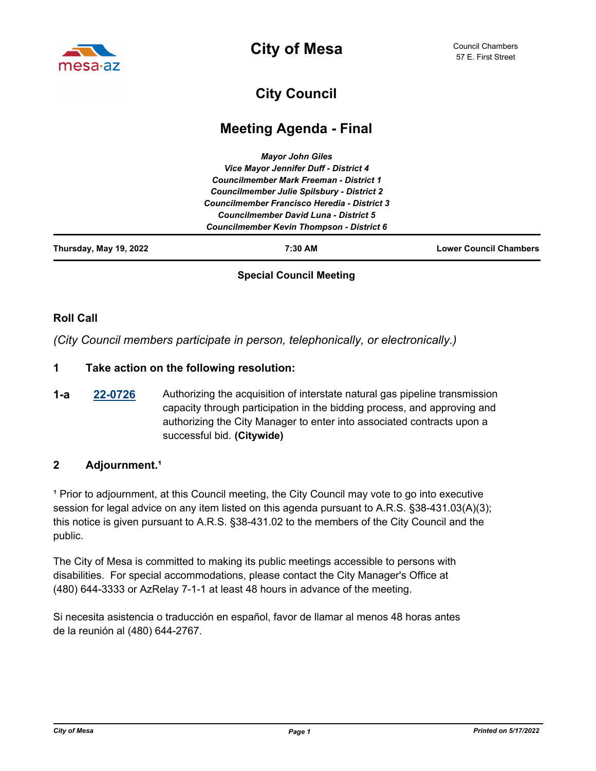

**City of Mesa**

# **City Council**

## **Meeting Agenda - Final**

| Thursday, May 19, 2022 | 7:30 AM                                                                                 | <b>Lower Council Chambers</b> |
|------------------------|-----------------------------------------------------------------------------------------|-------------------------------|
|                        | <b>Councilmember Kevin Thompson - District 6</b>                                        |                               |
|                        | Councilmember Francisco Heredia - District 3<br>Councilmember David Luna - District 5   |                               |
|                        |                                                                                         |                               |
|                        | <b>Councilmember Julie Spilsbury - District 2</b>                                       |                               |
|                        | Vice Mayor Jennifer Duff - District 4<br><b>Councilmember Mark Freeman - District 1</b> |                               |
|                        |                                                                                         |                               |
|                        | <b>Mayor John Giles</b>                                                                 |                               |

## **Special Council Meeting**

#### **Roll Call**

*(City Council members participate in person, telephonically, or electronically.)*

#### **1 Take action on the following resolution:**

**[22-0726](http://mesa.legistar.com/gateway.aspx?m=l&id=/matter.aspx?key=18617)** Authorizing the acquisition of interstate natural gas pipeline transmission capacity through participation in the bidding process, and approving and authorizing the City Manager to enter into associated contracts upon a successful bid. **(Citywide) 1-a**

## 2 **Adjournment.**<sup>1</sup>

<sup>1</sup> Prior to adjournment, at this Council meeting, the City Council may vote to go into executive session for legal advice on any item listed on this agenda pursuant to A.R.S. §38-431.03(A)(3); this notice is given pursuant to A.R.S. §38-431.02 to the members of the City Council and the public.

The City of Mesa is committed to making its public meetings accessible to persons with disabilities. For special accommodations, please contact the City Manager's Office at (480) 644-3333 or AzRelay 7-1-1 at least 48 hours in advance of the meeting.

Si necesita asistencia o traducción en español, favor de llamar al menos 48 horas antes de la reunión al (480) 644-2767.